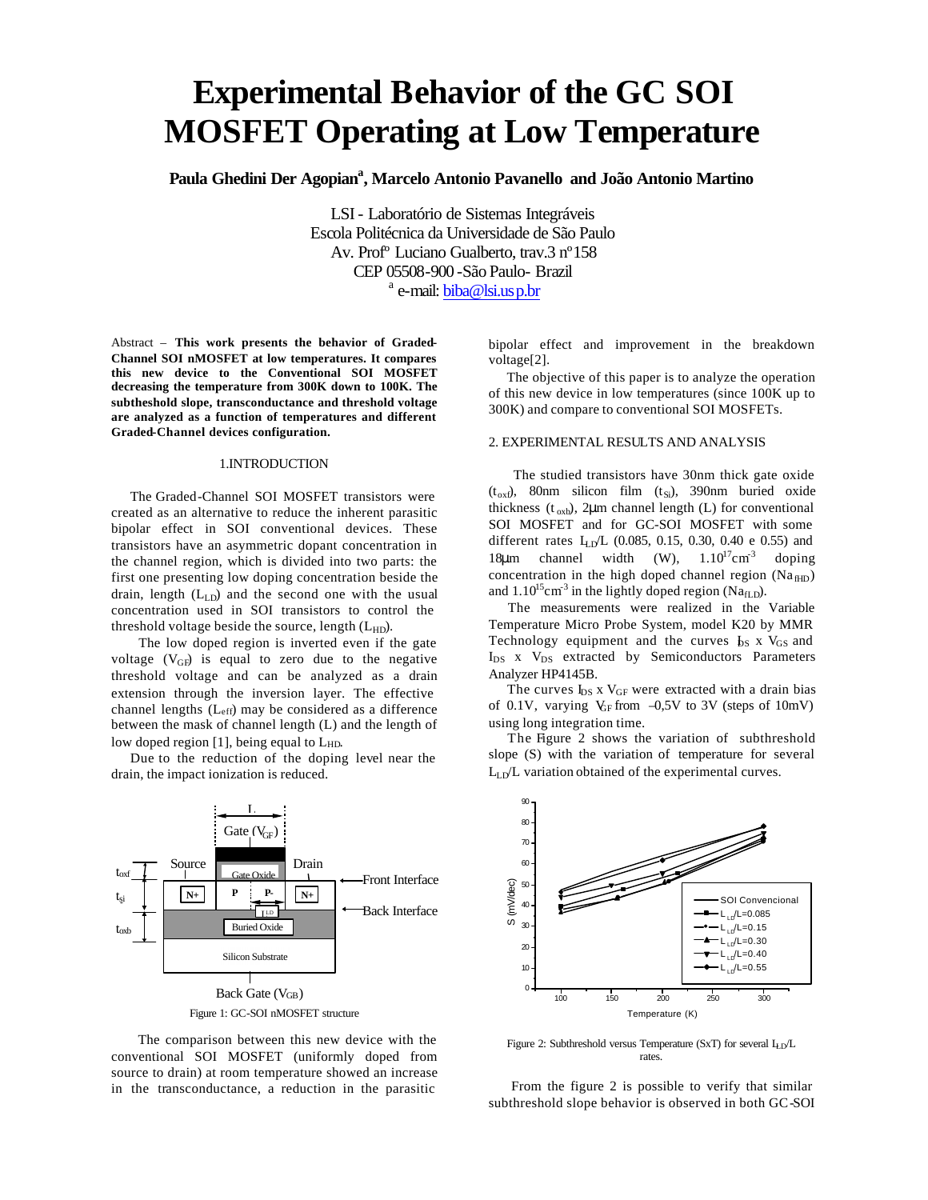# **Experimental Behavior of the GC SOI MOSFET Operating at Low Temperature**

**Paula Ghedini Der Agopian<sup>a</sup> , Marcelo Antonio Pavanello and João Antonio Martino**

LSI - Laboratório de Sistemas Integráveis Escola Politécnica da Universidade de São Paulo Av. Profº Luciano Gualberto, trav.3 nº158 CEP 05508-900 -São Paulo- Brazil <sup>a</sup> e-mail: <u>biba@lsi.us p.br</u>

Abstract – **This work presents the behavior of Graded-Channel SOI nMOSFET at low temperatures. It compares this new device to the Conventional SOI MOSFET decreasing the temperature from 300K down to 100K. The subtheshold slope, transconductance and threshold voltage are analyzed as a function of temperatures and different Graded-Channel devices configuration.**

### 1.INTRODUCTION

 The Graded-Channel SOI MOSFET transistors were created as an alternative to reduce the inherent parasitic bipolar effect in SOI conventional devices. These transistors have an asymmetric dopant concentration in the channel region, which is divided into two parts: the first one presenting low doping concentration beside the drain, length  $(L<sub>LD</sub>)$  and the second one with the usual concentration used in SOI transistors to control the threshold voltage beside the source, length  $(L_{HD})$ .

 The low doped region is inverted even if the gate voltage  $(V_{GF})$  is equal to zero due to the negative threshold voltage and can be analyzed as a drain extension through the inversion layer. The effective channel lengths (Leff) may be considered as a difference between the mask of channel length (L) and the length of low doped region [1], being equal to L<sub>HD</sub>.

 Due to the reduction of the doping level near the drain, the impact ionization is reduced.



 The comparison between this new device with the conventional SOI MOSFET (uniformly doped from source to drain) at room temperature showed an increase in the transconductance, a reduction in the parasitic

bipolar effect and improvement in the breakdown voltage[2].

 The objective of this paper is to analyze the operation of this new device in low temperatures (since 100K up to 300K) and compare to conventional SOI MOSFETs.

## 2. EXPERIMENTAL RESULTS AND ANALYSIS

 The studied transistors have 30nm thick gate oxide  $(t_{ox}f)$ , 80nm silicon film  $(t_{Si})$ , 390nm buried oxide thickness  $(t_{\text{oxb}})$ , 2µm channel length (L) for conventional SOI MOSFET and for GC-SOI MOSFET with some different rates  $L_{LD}L$  (0.085, 0.15, 0.30, 0.40 e 0.55) and 18 $\mu$ m channel width (W),  $1.10^{17}$ cm<sup>-3</sup> doping concentration in the high doped channel region  $(Na<sub>fHD</sub>)$ and  $1.10^{15}$ cm<sup>-3</sup> in the lightly doped region (Na<sub>fLD</sub>).

 The measurements were realized in the Variable Temperature Micro Probe System, model K20 by MMR Technology equipment and the curves  $I_{DS}$  x V<sub>GS</sub> and I<sub>DS</sub> x V<sub>DS</sub> extracted by Semiconductors Parameters Analyzer HP4145B.

The curves  $I_{DS}$  x  $V_{GF}$  were extracted with a drain bias of 0.1V, varying  $V_{\text{GF}}$  from  $-0.5V$  to 3V (steps of 10mV) using long integration time.

 The Figure 2 shows the variation of subthreshold slope (S) with the variation of temperature for several  $L_{LD}L$  variation obtained of the experimental curves.



Figure 2: Subthreshold versus Temperature (SxT) for several  $L_{LD}/L$ rates.

 From the figure 2 is possible to verify that similar subthreshold slope behavior is observed in both GC-SOI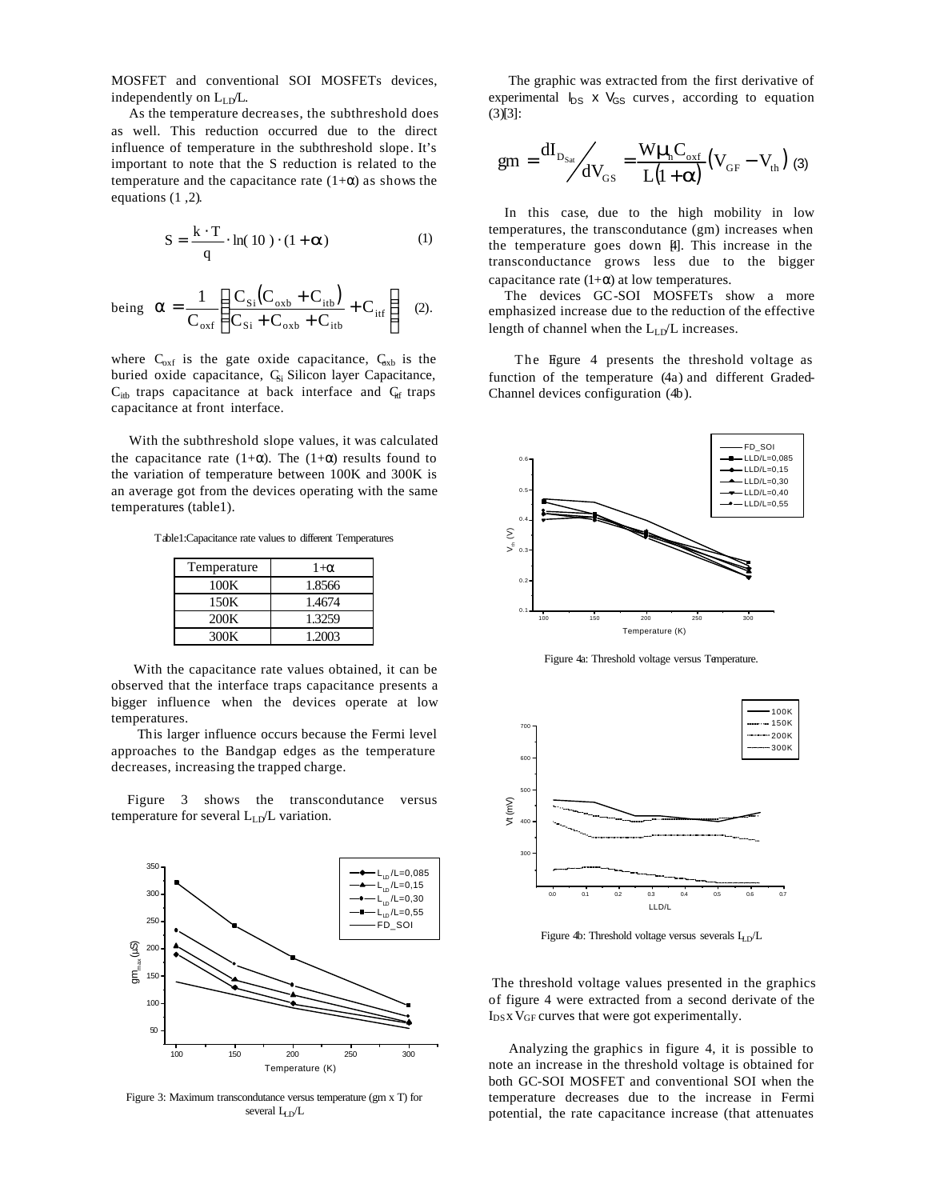MOSFET and conventional SOI MOSFETs devices, independently on L<sub>LD</sub>/L.

 As the temperature decreases, the subthreshold does as well. This reduction occurred due to the direct influence of temperature in the subthreshold slope. It's important to note that the S reduction is related to the temperature and the capacitance rate  $(1+\alpha)$  as shows the equations (1 ,2).

$$
S = \frac{k \cdot T}{q} \cdot \ln(10) \cdot (1 + \mathbf{a})
$$
 (1)

being 
$$
\mathbf{a} = \frac{1}{C_{\text{oxf}}} \left( \frac{C_{\text{Si}}(C_{\text{oxb}} + C_{\text{itb}})}{C_{\text{Si}} + C_{\text{oxb}} + C_{\text{itb}}} + C_{\text{itf}} \right)
$$
 (2).

where  $C_{oxf}$  is the gate oxide capacitance,  $C_{oxb}$  is the buried oxide capacitance, C<sub>Si</sub> Silicon layer Capacitance,  $C_{itb}$  traps capacitance at back interface and  $C_{itf}$  traps capacitance at front interface.

 With the subthreshold slope values, it was calculated the capacitance rate (1+ $\alpha$ ). The (1+ $\alpha$ ) results found to the variation of temperature between 100K and 300K is an average got from the devices operating with the same temperatures (table1).

Table1:Capacitance rate values to different Temperatures

| Temperature | $1+\alpha$ |
|-------------|------------|
| 100K        | 1.8566     |
| 150K        | 1.4674     |
| 200K        | 1.3259     |
| 300K        | 1.2003     |

 With the capacitance rate values obtained, it can be observed that the interface traps capacitance presents a bigger influence when the devices operate at low temperatures.

This larger influence occurs because the Fermi level approaches to the Bandgap edges as the temperature decreases, increasing the trapped charge.

 Figure 3 shows the transcondutance versus temperature for several  $L_{LD}/L$  variation.



Figure 3: Maximum transcondutance versus temperature (gm x T) for several  $L<sub>D</sub>/L$ 

 The graphic was extracted from the first derivative of experimental  $I_{DS}$  x  $V_{GS}$  curves, according to equation (3)[3]:

$$
gm = \frac{dI_{D_{Sat}}}{dV_{GS}} = \frac{W\boldsymbol{m}_{C_{oxf}}}{L(1+\boldsymbol{a})} (V_{GF} - V_{th})
$$
 (3)

 In this case, due to the high mobility in low temperatures, the transcondutance (gm) increases when the temperature goes down [4]. This increase in the transconductance grows less due to the bigger capacitance rate  $(1+\alpha)$  at low temperatures.

The devices GC-SOI MOSFETs show a more emphasized increase due to the reduction of the effective length of channel when the  $L_{LD}/L$  increases.

The Figure 4 presents the threshold voltage as function of the temperature (4a) and different Graded-Channel devices configuration (4b).



Figure 4a: Threshold voltage versus Temperature.



Figure 4b: Threshold voltage versus severals  $L_{\text{D}}/L$ 

The threshold voltage values presented in the graphics of figure 4 were extracted from a second derivate of the  $I_{DS}$  x  $V_{GF}$  curves that were got experimentally.

 Analyzing the graphics in figure 4, it is possible to note an increase in the threshold voltage is obtained for both GC-SOI MOSFET and conventional SOI when the temperature decreases due to the increase in Fermi potential, the rate capacitance increase (that attenuates